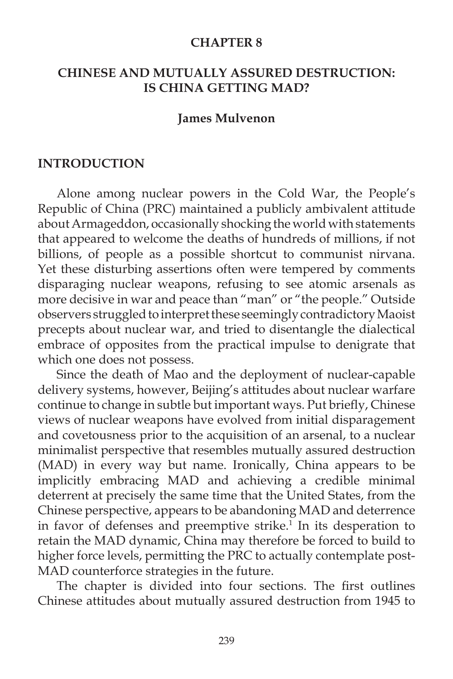#### **CHAPTER 8**

### **CHINESE AND MUTUALLY ASSURED DESTRUCTION: IS CHINA GETTING MAD?**

#### **James Mulvenon**

#### **INTRODUCTION**

Alone among nuclear powers in the Cold War, the People's Republic of China (PRC) maintained a publicly ambivalent attitude about Armageddon, occasionally shocking the world with statements that appeared to welcome the deaths of hundreds of millions, if not billions, of people as a possible shortcut to communist nirvana. Yet these disturbing assertions often were tempered by comments disparaging nuclear weapons, refusing to see atomic arsenals as more decisive in war and peace than "man" or "the people." Outside observers struggled to interpret these seemingly contradictory Maoist precepts about nuclear war, and tried to disentangle the dialectical embrace of opposites from the practical impulse to denigrate that which one does not possess.

 Since the death of Mao and the deployment of nuclear-capable delivery systems, however, Beijing's attitudes about nuclear warfare continue to change in subtle but important ways. Put briefly, Chinese views of nuclear weapons have evolved from initial disparagement and covetousness prior to the acquisition of an arsenal, to a nuclear minimalist perspective that resembles mutually assured destruction (MAD) in every way but name. Ironically, China appears to be implicitly embracing MAD and achieving a credible minimal deterrent at precisely the same time that the United States, from the Chinese perspective, appears to be abandoning MAD and deterrence in favor of defenses and preemptive strike.<sup>1</sup> In its desperation to retain the MAD dynamic, China may therefore be forced to build to higher force levels, permitting the PRC to actually contemplate post-MAD counterforce strategies in the future.

The chapter is divided into four sections. The first outlines Chinese attitudes about mutually assured destruction from 1945 to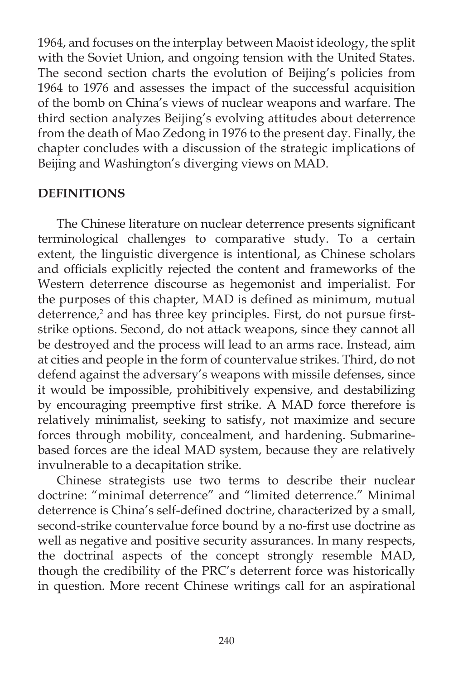1964, and focuses on the interplay between Maoist ideology, the split with the Soviet Union, and ongoing tension with the United States. The second section charts the evolution of Beijing's policies from 1964 to 1976 and assesses the impact of the successful acquisition of the bomb on China's views of nuclear weapons and warfare. The third section analyzes Beijing's evolving attitudes about deterrence from the death of Mao Zedong in 1976 to the present day. Finally, the chapter concludes with a discussion of the strategic implications of Beijing and Washington's diverging views on MAD.

### **DEFINITIONS**

The Chinese literature on nuclear deterrence presents significant terminological challenges to comparative study. To a certain extent, the linguistic divergence is intentional, as Chinese scholars and officials explicitly rejected the content and frameworks of the Western deterrence discourse as hegemonist and imperialist. For the purposes of this chapter, MAD is defined as minimum, mutual deterrence,<sup>2</sup> and has three key principles. First, do not pursue firststrike options. Second, do not attack weapons, since they cannot all be destroyed and the process will lead to an arms race. Instead, aim at cities and people in the form of countervalue strikes. Third, do not defend against the adversary's weapons with missile defenses, since it would be impossible, prohibitively expensive, and destabilizing by encouraging preemptive first strike. A MAD force therefore is relatively minimalist, seeking to satisfy, not maximize and secure forces through mobility, concealment, and hardening. Submarinebased forces are the ideal MAD system, because they are relatively invulnerable to a decapitation strike.

 Chinese strategists use two terms to describe their nuclear doctrine: "minimal deterrence" and "limited deterrence." Minimal deterrence is China's self-defined doctrine, characterized by a small, second-strike countervalue force bound by a no-first use doctrine as well as negative and positive security assurances. In many respects, the doctrinal aspects of the concept strongly resemble MAD, though the credibility of the PRC's deterrent force was historically in question. More recent Chinese writings call for an aspirational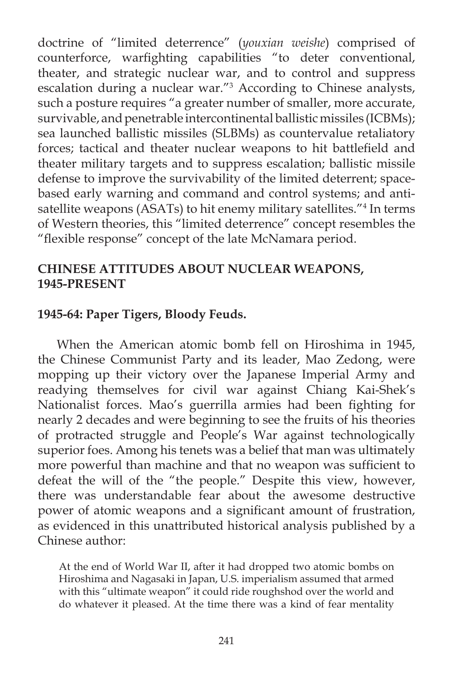doctrine of "limited deterrence" (*youxian weishe*) comprised of counterforce, warfighting capabilities "to deter conventional, theater, and strategic nuclear war, and to control and suppress escalation during a nuclear war."3 According to Chinese analysts, such a posture requires "a greater number of smaller, more accurate, survivable, and penetrable intercontinental ballistic missiles (ICBMs); sea launched ballistic missiles (SLBMs) as countervalue retaliatory forces; tactical and theater nuclear weapons to hit battlefield and theater military targets and to suppress escalation; ballistic missile defense to improve the survivability of the limited deterrent; spacebased early warning and command and control systems; and antisatellite weapons (ASATs) to hit enemy military satellites."4 In terms of Western theories, this "limited deterrence" concept resembles the "flexible response" concept of the late McNamara period.

### **CHINESE ATTITUDES ABOUT NUCLEAR WEAPONS, 1945-PRESENT**

## **1945-64: Paper Tigers, Bloody Feuds.**

When the American atomic bomb fell on Hiroshima in 1945, the Chinese Communist Party and its leader, Mao Zedong, were mopping up their victory over the Japanese Imperial Army and readying themselves for civil war against Chiang Kai-Shek's Nationalist forces. Mao's guerrilla armies had been fighting for nearly 2 decades and were beginning to see the fruits of his theories of protracted struggle and People's War against technologically superior foes. Among his tenets was a belief that man was ultimately more powerful than machine and that no weapon was sufficient to defeat the will of the "the people." Despite this view, however, there was understandable fear about the awesome destructive power of atomic weapons and a significant amount of frustration, as evidenced in this unattributed historical analysis published by a Chinese author:

At the end of World War II, after it had dropped two atomic bombs on Hiroshima and Nagasaki in Japan, U.S. imperialism assumed that armed with this "ultimate weapon" it could ride roughshod over the world and do whatever it pleased. At the time there was a kind of fear mentality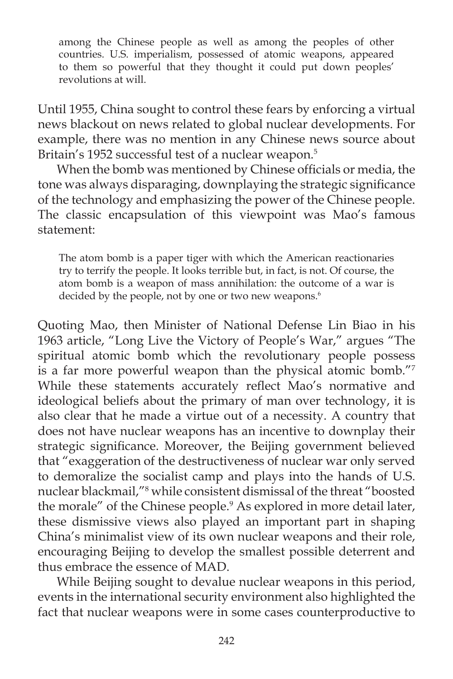among the Chinese people as well as among the peoples of other countries. U.S. imperialism, possessed of atomic weapons, appeared to them so powerful that they thought it could put down peoples' revolutions at will.

Until 1955, China sought to control these fears by enforcing a virtual news blackout on news related to global nuclear developments. For example, there was no mention in any Chinese news source about Britain's 1952 successful test of a nuclear weapon.<sup>5</sup>

When the bomb was mentioned by Chinese officials or media, the tone was always disparaging, downplaying the strategic significance of the technology and emphasizing the power of the Chinese people. The classic encapsulation of this viewpoint was Mao's famous statement:

The atom bomb is a paper tiger with which the American reactionaries try to terrify the people. It looks terrible but, in fact, is not. Of course, the atom bomb is a weapon of mass annihilation: the outcome of a war is decided by the people, not by one or two new weapons.<sup>6</sup>

Quoting Mao, then Minister of National Defense Lin Biao in his 1963 article, "Long Live the Victory of People's War," argues "The spiritual atomic bomb which the revolutionary people possess is a far more powerful weapon than the physical atomic bomb."7 While these statements accurately reflect Mao's normative and ideological beliefs about the primary of man over technology, it is also clear that he made a virtue out of a necessity. A country that does not have nuclear weapons has an incentive to downplay their strategic significance. Moreover, the Beijing government believed that "exaggeration of the destructiveness of nuclear war only served to demoralize the socialist camp and plays into the hands of U.S. nuclear blackmail,"8 while consistent dismissal of the threat "boosted the morale" of the Chinese people.<sup>9</sup> As explored in more detail later, these dismissive views also played an important part in shaping China's minimalist view of its own nuclear weapons and their role, encouraging Beijing to develop the smallest possible deterrent and thus embrace the essence of MAD.

 While Beijing sought to devalue nuclear weapons in this period, events in the international security environment also highlighted the fact that nuclear weapons were in some cases counterproductive to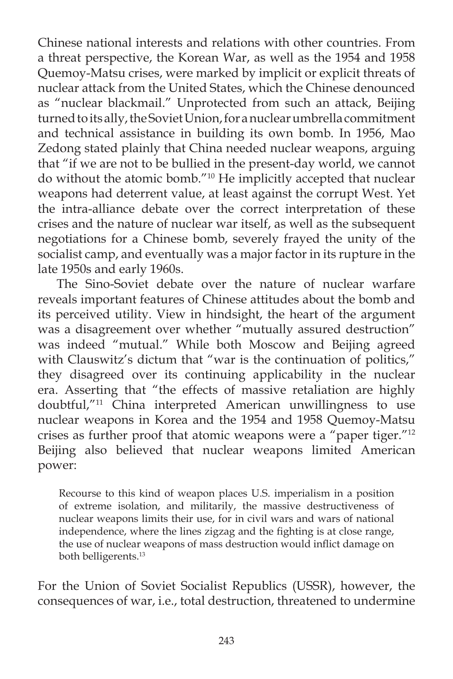Chinese national interests and relations with other countries. From a threat perspective, the Korean War, as well as the 1954 and 1958 Quemoy-Matsu crises, were marked by implicit or explicit threats of nuclear attack from the United States, which the Chinese denounced as "nuclear blackmail." Unprotected from such an attack, Beijing turned to its ally, the Soviet Union, for a nuclear umbrella commitment and technical assistance in building its own bomb. In 1956, Mao Zedong stated plainly that China needed nuclear weapons, arguing that "if we are not to be bullied in the present-day world, we cannot do without the atomic bomb."10 He implicitly accepted that nuclear weapons had deterrent value, at least against the corrupt West. Yet the intra-alliance debate over the correct interpretation of these crises and the nature of nuclear war itself, as well as the subsequent negotiations for a Chinese bomb, severely frayed the unity of the socialist camp, and eventually was a major factor in its rupture in the late 1950s and early 1960s.

 The Sino-Soviet debate over the nature of nuclear warfare reveals important features of Chinese attitudes about the bomb and its perceived utility. View in hindsight, the heart of the argument was a disagreement over whether "mutually assured destruction" was indeed "mutual." While both Moscow and Beijing agreed with Clauswitz's dictum that "war is the continuation of politics," they disagreed over its continuing applicability in the nuclear era. Asserting that "the effects of massive retaliation are highly doubtful,"11 China interpreted American unwillingness to use nuclear weapons in Korea and the 1954 and 1958 Quemoy-Matsu crises as further proof that atomic weapons were a "paper tiger."<sup>12</sup> Beijing also believed that nuclear weapons limited American power:

Recourse to this kind of weapon places U.S. imperialism in a position of extreme isolation, and militarily, the massive destructiveness of nuclear weapons limits their use, for in civil wars and wars of national independence, where the lines zigzag and the fighting is at close range, the use of nuclear weapons of mass destruction would inflict damage on both belligerents.13

For the Union of Soviet Socialist Republics (USSR), however, the consequences of war, i.e., total destruction, threatened to undermine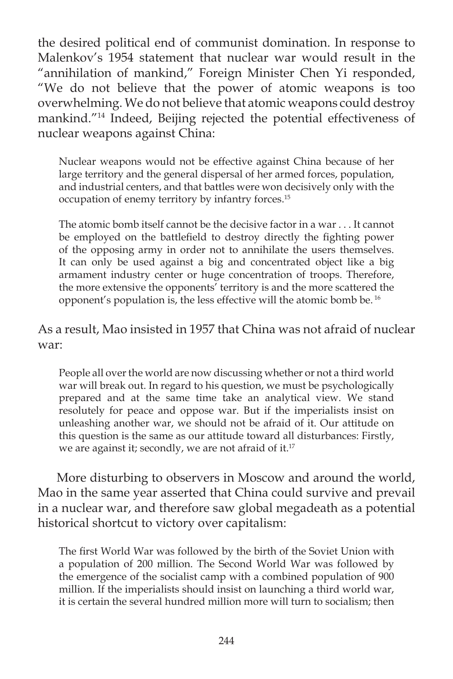the desired political end of communist domination. In response to Malenkov's 1954 statement that nuclear war would result in the "annihilation of mankind," Foreign Minister Chen Yi responded, "We do not believe that the power of atomic weapons is too overwhelming. We do not believe that atomic weapons could destroy mankind."14 Indeed, Beijing rejected the potential effectiveness of nuclear weapons against China:

Nuclear weapons would not be effective against China because of her large territory and the general dispersal of her armed forces, population, and industrial centers, and that battles were won decisively only with the occupation of enemy territory by infantry forces.15

The atomic bomb itself cannot be the decisive factor in a war . . . It cannot be employed on the battlefield to destroy directly the fighting power of the opposing army in order not to annihilate the users themselves. It can only be used against a big and concentrated object like a big armament industry center or huge concentration of troops. Therefore, the more extensive the opponents' territory is and the more scattered the opponent's population is, the less effective will the atomic bomb be. 16

# As a result, Mao insisted in 1957 that China was not afraid of nuclear war:

People all over the world are now discussing whether or not a third world war will break out. In regard to his question, we must be psychologically prepared and at the same time take an analytical view. We stand resolutely for peace and oppose war. But if the imperialists insist on unleashing another war, we should not be afraid of it. Our attitude on this question is the same as our attitude toward all disturbances: Firstly, we are against it; secondly, we are not afraid of it.<sup>17</sup>

 More disturbing to observers in Moscow and around the world, Mao in the same year asserted that China could survive and prevail in a nuclear war, and therefore saw global megadeath as a potential historical shortcut to victory over capitalism:

The first World War was followed by the birth of the Soviet Union with a population of 200 million. The Second World War was followed by the emergence of the socialist camp with a combined population of 900 million. If the imperialists should insist on launching a third world war, it is certain the several hundred million more will turn to socialism; then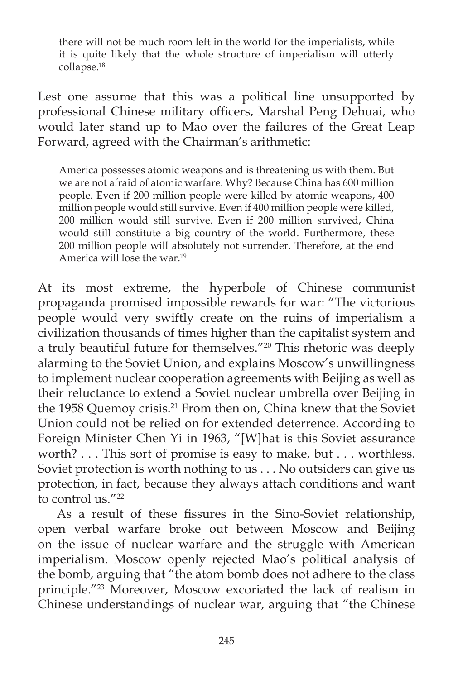there will not be much room left in the world for the imperialists, while it is quite likely that the whole structure of imperialism will utterly collapse.18

Lest one assume that this was a political line unsupported by professional Chinese military officers, Marshal Peng Dehuai, who would later stand up to Mao over the failures of the Great Leap Forward, agreed with the Chairman's arithmetic:

America possesses atomic weapons and is threatening us with them. But we are not afraid of atomic warfare. Why? Because China has 600 million people. Even if 200 million people were killed by atomic weapons, 400 million people would still survive. Even if 400 million people were killed, 200 million would still survive. Even if 200 million survived, China would still constitute a big country of the world. Furthermore, these 200 million people will absolutely not surrender. Therefore, at the end America will lose the war.19

At its most extreme, the hyperbole of Chinese communist propaganda promised impossible rewards for war: "The victorious people would very swiftly create on the ruins of imperialism a civilization thousands of times higher than the capitalist system and a truly beautiful future for themselves."20 This rhetoric was deeply alarming to the Soviet Union, and explains Moscow's unwillingness to implement nuclear cooperation agreements with Beijing as well as their reluctance to extend a Soviet nuclear umbrella over Beijing in the 1958 Quemoy crisis.<sup>21</sup> From then on, China knew that the Soviet Union could not be relied on for extended deterrence. According to Foreign Minister Chen Yi in 1963, "[W]hat is this Soviet assurance worth? . . . This sort of promise is easy to make, but . . . worthless. Soviet protection is worth nothing to us . . . No outsiders can give us protection, in fact, because they always attach conditions and want to control us."<sup>22</sup>

As a result of these fissures in the Sino-Soviet relationship, open verbal warfare broke out between Moscow and Beijing on the issue of nuclear warfare and the struggle with American imperialism. Moscow openly rejected Mao's political analysis of the bomb, arguing that "the atom bomb does not adhere to the class principle."23 Moreover, Moscow excoriated the lack of realism in Chinese understandings of nuclear war, arguing that "the Chinese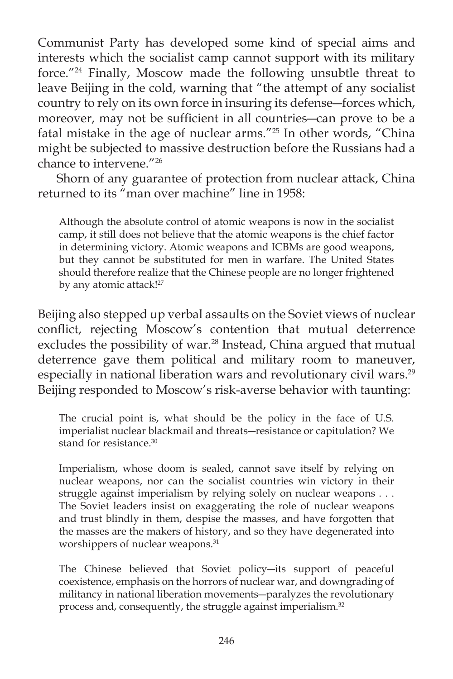Communist Party has developed some kind of special aims and interests which the socialist camp cannot support with its military force."24 Finally, Moscow made the following unsubtle threat to leave Beijing in the cold, warning that "the attempt of any socialist country to rely on its own force in insuring its defense―forces which, moreover, may not be sufficient in all countries—can prove to be a fatal mistake in the age of nuclear arms."25 In other words, "China might be subjected to massive destruction before the Russians had a chance to intervene."26

 Shorn of any guarantee of protection from nuclear attack, China returned to its "man over machine" line in 1958:

Although the absolute control of atomic weapons is now in the socialist camp, it still does not believe that the atomic weapons is the chief factor in determining victory. Atomic weapons and ICBMs are good weapons, but they cannot be substituted for men in warfare. The United States should therefore realize that the Chinese people are no longer frightened by any atomic attack!<sup>27</sup>

Beijing also stepped up verbal assaults on the Soviet views of nuclear conflict, rejecting Moscow's contention that mutual deterrence excludes the possibility of war.<sup>28</sup> Instead, China argued that mutual deterrence gave them political and military room to maneuver, especially in national liberation wars and revolutionary civil wars.<sup>29</sup> Beijing responded to Moscow's risk-averse behavior with taunting:

The crucial point is, what should be the policy in the face of U.S. imperialist nuclear blackmail and threats―resistance or capitulation? We stand for resistance.<sup>30</sup>

Imperialism, whose doom is sealed, cannot save itself by relying on nuclear weapons, nor can the socialist countries win victory in their struggle against imperialism by relying solely on nuclear weapons . . . The Soviet leaders insist on exaggerating the role of nuclear weapons and trust blindly in them, despise the masses, and have forgotten that the masses are the makers of history, and so they have degenerated into worshippers of nuclear weapons.<sup>31</sup>

The Chinese believed that Soviet policy―its support of peaceful coexistence, emphasis on the horrors of nuclear war, and downgrading of militancy in national liberation movements―paralyzes the revolutionary process and, consequently, the struggle against imperialism.<sup>32</sup>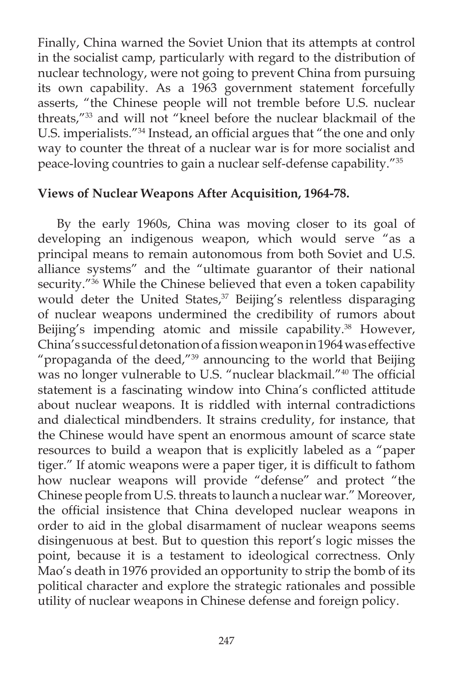Finally, China warned the Soviet Union that its attempts at control in the socialist camp, particularly with regard to the distribution of nuclear technology, were not going to prevent China from pursuing its own capability. As a 1963 government statement forcefully asserts, "the Chinese people will not tremble before U.S. nuclear threats,"33 and will not "kneel before the nuclear blackmail of the U.S. imperialists."<sup>34</sup> Instead, an official argues that "the one and only way to counter the threat of a nuclear war is for more socialist and peace-loving countries to gain a nuclear self-defense capability."35

# **Views of Nuclear Weapons After Acquisition, 1964-78.**

By the early 1960s, China was moving closer to its goal of developing an indigenous weapon, which would serve "as a principal means to remain autonomous from both Soviet and U.S. alliance systems" and the "ultimate guarantor of their national security."<sup>36</sup> While the Chinese believed that even a token capability would deter the United States,<sup>37</sup> Beijing's relentless disparaging of nuclear weapons undermined the credibility of rumors about Beijing's impending atomic and missile capability.<sup>38</sup> However, China's successful detonation of a fission weapon in 1964 was effective "propaganda of the deed,"<sup>39</sup> announcing to the world that Beijing was no longer vulnerable to U.S. "nuclear blackmail."<sup>40</sup> The official statement is a fascinating window into China's conflicted attitude about nuclear weapons. It is riddled with internal contradictions and dialectical mindbenders. It strains credulity, for instance, that the Chinese would have spent an enormous amount of scarce state resources to build a weapon that is explicitly labeled as a "paper tiger." If atomic weapons were a paper tiger, it is difficult to fathom how nuclear weapons will provide "defense" and protect "the Chinese people from U.S. threats to launch a nuclear war." Moreover, the official insistence that China developed nuclear weapons in order to aid in the global disarmament of nuclear weapons seems disingenuous at best. But to question this report's logic misses the point, because it is a testament to ideological correctness. Only Mao's death in 1976 provided an opportunity to strip the bomb of its political character and explore the strategic rationales and possible utility of nuclear weapons in Chinese defense and foreign policy.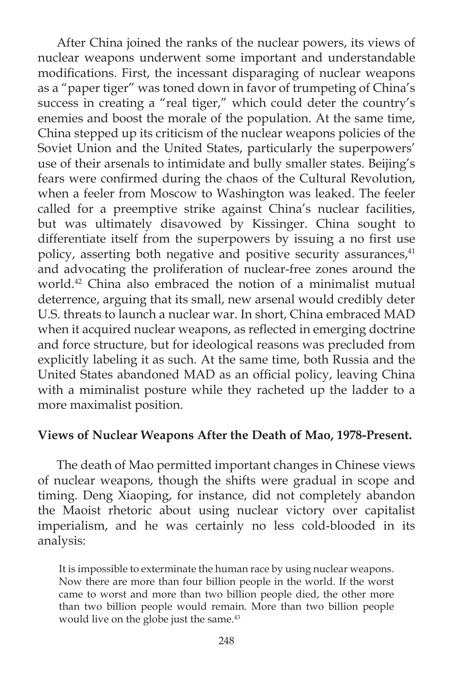After China joined the ranks of the nuclear powers, its views of nuclear weapons underwent some important and understandable modifications. First, the incessant disparaging of nuclear weapons as a "paper tiger" was toned down in favor of trumpeting of China's success in creating a "real tiger," which could deter the country's enemies and boost the morale of the population. At the same time, China stepped up its criticism of the nuclear weapons policies of the Soviet Union and the United States, particularly the superpowers' use of their arsenals to intimidate and bully smaller states. Beijing's fears were confirmed during the chaos of the Cultural Revolution, when a feeler from Moscow to Washington was leaked. The feeler called for a preemptive strike against China's nuclear facilities, but was ultimately disavowed by Kissinger. China sought to differentiate itself from the superpowers by issuing a no first use policy, asserting both negative and positive security assurances,<sup>41</sup> and advocating the proliferation of nuclear-free zones around the world.42 China also embraced the notion of a minimalist mutual deterrence, arguing that its small, new arsenal would credibly deter U.S. threats to launch a nuclear war. In short, China embraced MAD when it acquired nuclear weapons, as reflected in emerging doctrine and force structure, but for ideological reasons was precluded from explicitly labeling it as such. At the same time, both Russia and the United States abandoned MAD as an official policy, leaving China with a miminalist posture while they racheted up the ladder to a more maximalist position.

### **Views of Nuclear Weapons After the Death of Mao, 1978-Present.**

 The death of Mao permitted important changes in Chinese views of nuclear weapons, though the shifts were gradual in scope and timing. Deng Xiaoping, for instance, did not completely abandon the Maoist rhetoric about using nuclear victory over capitalist imperialism, and he was certainly no less cold-blooded in its analysis:

It is impossible to exterminate the human race by using nuclear weapons. Now there are more than four billion people in the world. If the worst came to worst and more than two billion people died, the other more than two billion people would remain. More than two billion people would live on the globe just the same.<sup>43</sup>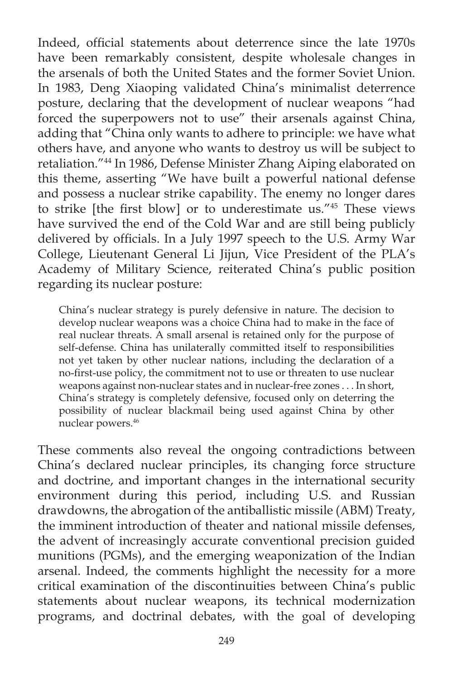Indeed, official statements about deterrence since the late 1970s have been remarkably consistent, despite wholesale changes in the arsenals of both the United States and the former Soviet Union. In 1983, Deng Xiaoping validated China's minimalist deterrence posture, declaring that the development of nuclear weapons "had forced the superpowers not to use" their arsenals against China, adding that "China only wants to adhere to principle: we have what others have, and anyone who wants to destroy us will be subject to retaliation."44 In 1986, Defense Minister Zhang Aiping elaborated on this theme, asserting "We have built a powerful national defense and possess a nuclear strike capability. The enemy no longer dares to strike [the first blow] or to underestimate us.<sup>"45</sup> These views have survived the end of the Cold War and are still being publicly delivered by officials. In a July 1997 speech to the U.S. Army War College, Lieutenant General Li Jijun, Vice President of the PLA's Academy of Military Science, reiterated China's public position regarding its nuclear posture:

China's nuclear strategy is purely defensive in nature. The decision to develop nuclear weapons was a choice China had to make in the face of real nuclear threats. A small arsenal is retained only for the purpose of self-defense. China has unilaterally committed itself to responsibilities not yet taken by other nuclear nations, including the declaration of a no-first-use policy, the commitment not to use or threaten to use nuclear weapons against non-nuclear states and in nuclear-free zones . . . In short, China's strategy is completely defensive, focused only on deterring the possibility of nuclear blackmail being used against China by other nuclear powers.46

These comments also reveal the ongoing contradictions between China's declared nuclear principles, its changing force structure and doctrine, and important changes in the international security environment during this period, including U.S. and Russian drawdowns, the abrogation of the antiballistic missile (ABM) Treaty, the imminent introduction of theater and national missile defenses, the advent of increasingly accurate conventional precision guided munitions (PGMs), and the emerging weaponization of the Indian arsenal. Indeed, the comments highlight the necessity for a more critical examination of the discontinuities between China's public statements about nuclear weapons, its technical modernization programs, and doctrinal debates, with the goal of developing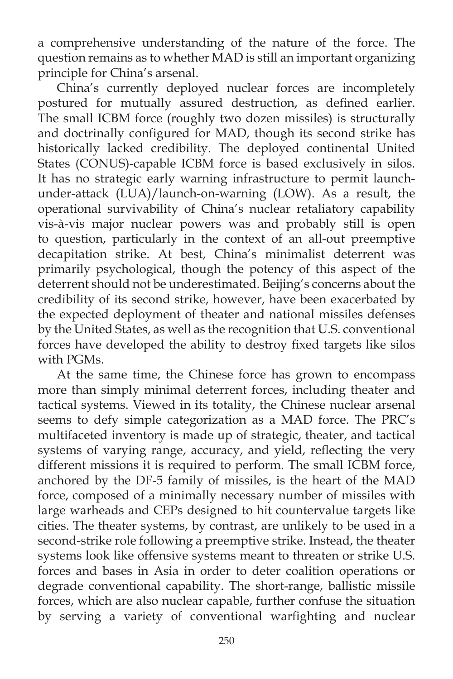a comprehensive understanding of the nature of the force. The question remains as to whether MAD is still an important organizing principle for China's arsenal.

 China's currently deployed nuclear forces are incompletely postured for mutually assured destruction, as defined earlier. The small ICBM force (roughly two dozen missiles) is structurally and doctrinally configured for MAD, though its second strike has historically lacked credibility. The deployed continental United States (CONUS)-capable ICBM force is based exclusively in silos. It has no strategic early warning infrastructure to permit launchunder-attack (LUA)/launch-on-warning (LOW). As a result, the operational survivability of China's nuclear retaliatory capability vis-à-vis major nuclear powers was and probably still is open to question, particularly in the context of an all-out preemptive decapitation strike. At best, China's minimalist deterrent was primarily psychological, though the potency of this aspect of the deterrent should not be underestimated. Beijing's concerns about the credibility of its second strike, however, have been exacerbated by the expected deployment of theater and national missiles defenses by the United States, as well as the recognition that U.S. conventional forces have developed the ability to destroy fixed targets like silos with PGMs.

 At the same time, the Chinese force has grown to encompass more than simply minimal deterrent forces, including theater and tactical systems. Viewed in its totality, the Chinese nuclear arsenal seems to defy simple categorization as a MAD force. The PRC's multifaceted inventory is made up of strategic, theater, and tactical systems of varying range, accuracy, and yield, reflecting the very different missions it is required to perform. The small ICBM force, anchored by the DF-5 family of missiles, is the heart of the MAD force, composed of a minimally necessary number of missiles with large warheads and CEPs designed to hit countervalue targets like cities. The theater systems, by contrast, are unlikely to be used in a second-strike role following a preemptive strike. Instead, the theater systems look like offensive systems meant to threaten or strike U.S. forces and bases in Asia in order to deter coalition operations or degrade conventional capability. The short-range, ballistic missile forces, which are also nuclear capable, further confuse the situation by serving a variety of conventional warfighting and nuclear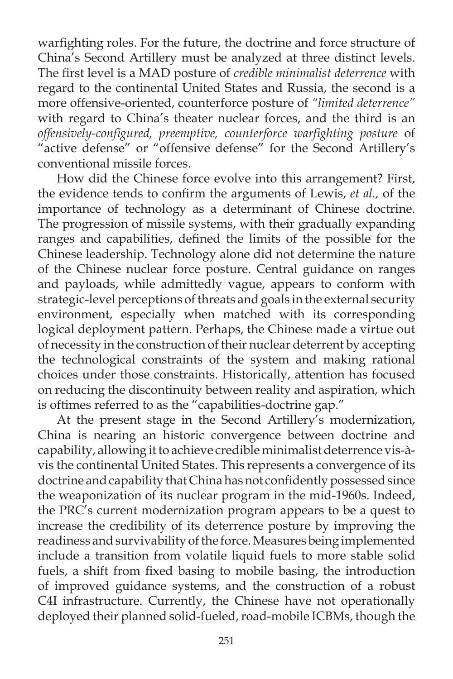warfighting roles. For the future, the doctrine and force structure of China's Second Artillery must be analyzed at three distinct levels. The first level is a MAD posture of *credible minimalist deterrence* with regard to the continental United States and Russia, the second is a more offensive-oriented, counterforce posture of *"limited deterrence"*  with regard to China's theater nuclear forces, and the third is an *offensively-confi gured, preemptive, counterforce warfi ghting posture* of "active defense" or "offensive defense" for the Second Artillery's conventional missile forces.

 How did the Chinese force evolve into this arrangement? First, the evidence tends to confirm the arguments of Lewis, et al., of the importance of technology as a determinant of Chinese doctrine. The progression of missile systems, with their gradually expanding ranges and capabilities, defined the limits of the possible for the Chinese leadership. Technology alone did not determine the nature of the Chinese nuclear force posture. Central guidance on ranges and payloads, while admittedly vague, appears to conform with strategic-level perceptions of threats and goals in the external security environment, especially when matched with its corresponding logical deployment pattern. Perhaps, the Chinese made a virtue out of necessity in the construction of their nuclear deterrent by accepting the technological constraints of the system and making rational choices under those constraints. Historically, attention has focused on reducing the discontinuity between reality and aspiration, which is oftimes referred to as the "capabilities-doctrine gap."

 At the present stage in the Second Artillery's modernization, China is nearing an historic convergence between doctrine and capability, allowing it to achieve credible minimalist deterrence vis-àvis the continental United States. This represents a convergence of its doctrine and capability that China has not confidently possessed since the weaponization of its nuclear program in the mid-1960s. Indeed, the PRC's current modernization program appears to be a quest to increase the credibility of its deterrence posture by improving the readiness and survivability of the force. Measures being implemented include a transition from volatile liquid fuels to more stable solid fuels, a shift from fixed basing to mobile basing, the introduction of improved guidance systems, and the construction of a robust C4I infrastructure. Currently, the Chinese have not operationally deployed their planned solid-fueled, road-mobile ICBMs, though the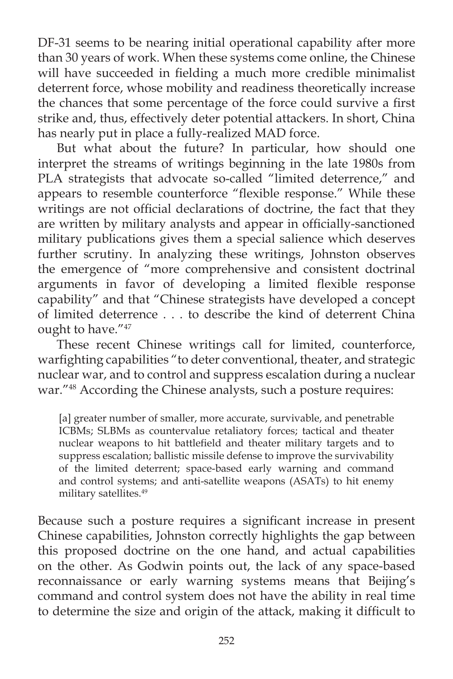DF-31 seems to be nearing initial operational capability after more than 30 years of work. When these systems come online, the Chinese will have succeeded in fielding a much more credible minimalist deterrent force, whose mobility and readiness theoretically increase the chances that some percentage of the force could survive a first strike and, thus, effectively deter potential attackers. In short, China has nearly put in place a fully-realized MAD force.

 But what about the future? In particular, how should one interpret the streams of writings beginning in the late 1980s from PLA strategists that advocate so-called "limited deterrence," and appears to resemble counterforce "flexible response." While these writings are not official declarations of doctrine, the fact that they are written by military analysts and appear in officially-sanctioned military publications gives them a special salience which deserves further scrutiny. In analyzing these writings, Johnston observes the emergence of "more comprehensive and consistent doctrinal arguments in favor of developing a limited flexible response capability" and that "Chinese strategists have developed a concept of limited deterrence . . . to describe the kind of deterrent China ought to have."47

 These recent Chinese writings call for limited, counterforce, warfighting capabilities "to deter conventional, theater, and strategic nuclear war, and to control and suppress escalation during a nuclear war."48 According the Chinese analysts, such a posture requires:

[a] greater number of smaller, more accurate, survivable, and penetrable ICBMs; SLBMs as countervalue retaliatory forces; tactical and theater nuclear weapons to hit battlefield and theater military targets and to suppress escalation; ballistic missile defense to improve the survivability of the limited deterrent; space-based early warning and command and control systems; and anti-satellite weapons (ASATs) to hit enemy military satellites.<sup>49</sup>

Because such a posture requires a significant increase in present Chinese capabilities, Johnston correctly highlights the gap between this proposed doctrine on the one hand, and actual capabilities on the other. As Godwin points out, the lack of any space-based reconnaissance or early warning systems means that Beijing's command and control system does not have the ability in real time to determine the size and origin of the attack, making it difficult to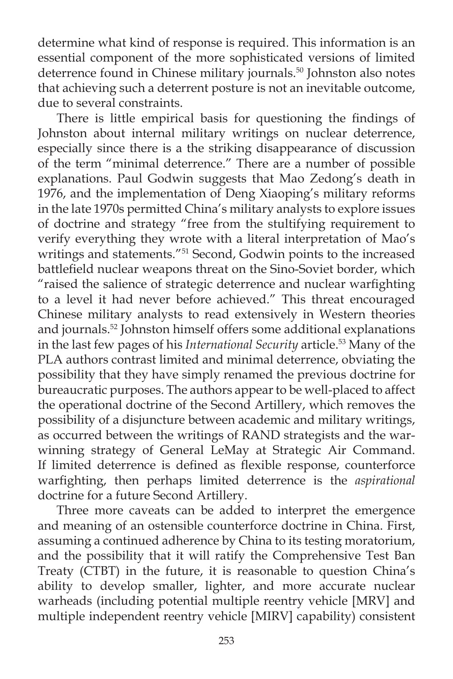determine what kind of response is required. This information is an essential component of the more sophisticated versions of limited deterrence found in Chinese military journals.<sup>50</sup> Johnston also notes that achieving such a deterrent posture is not an inevitable outcome, due to several constraints.

There is little empirical basis for questioning the findings of Johnston about internal military writings on nuclear deterrence, especially since there is a the striking disappearance of discussion of the term "minimal deterrence." There are a number of possible explanations. Paul Godwin suggests that Mao Zedong's death in 1976, and the implementation of Deng Xiaoping's military reforms in the late 1970s permitted China's military analysts to explore issues of doctrine and strategy "free from the stultifying requirement to verify everything they wrote with a literal interpretation of Mao's writings and statements."51 Second, Godwin points to the increased battlefield nuclear weapons threat on the Sino-Soviet border, which "raised the salience of strategic deterrence and nuclear warfighting to a level it had never before achieved." This threat encouraged Chinese military analysts to read extensively in Western theories and journals.52 Johnston himself offers some additional explanations in the last few pages of his *International Security* article.<sup>53</sup> Many of the PLA authors contrast limited and minimal deterrence, obviating the possibility that they have simply renamed the previous doctrine for bureaucratic purposes. The authors appear to be well-placed to affect the operational doctrine of the Second Artillery, which removes the possibility of a disjuncture between academic and military writings, as occurred between the writings of RAND strategists and the warwinning strategy of General LeMay at Strategic Air Command. If limited deterrence is defined as flexible response, counterforce warfighting, then perhaps limited deterrence is the *aspirational* doctrine for a future Second Artillery.

 Three more caveats can be added to interpret the emergence and meaning of an ostensible counterforce doctrine in China. First, assuming a continued adherence by China to its testing moratorium, and the possibility that it will ratify the Comprehensive Test Ban Treaty (CTBT) in the future, it is reasonable to question China's ability to develop smaller, lighter, and more accurate nuclear warheads (including potential multiple reentry vehicle [MRV] and multiple independent reentry vehicle [MIRV] capability) consistent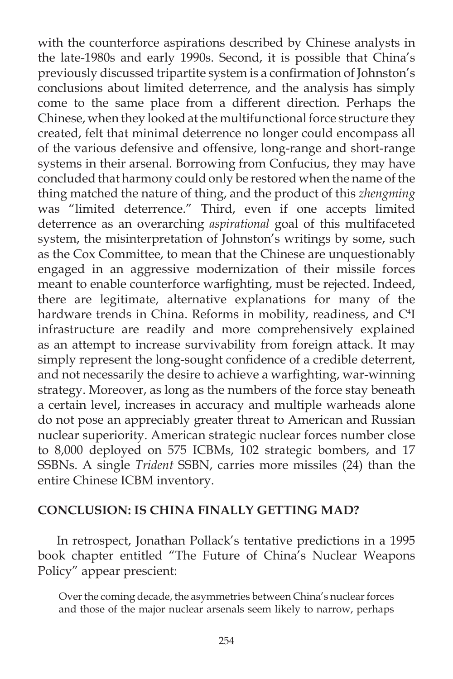with the counterforce aspirations described by Chinese analysts in the late-1980s and early 1990s. Second, it is possible that China's previously discussed tripartite system is a confirmation of Johnston's conclusions about limited deterrence, and the analysis has simply come to the same place from a different direction. Perhaps the Chinese, when they looked at the multifunctional force structure they created, felt that minimal deterrence no longer could encompass all of the various defensive and offensive, long-range and short-range systems in their arsenal. Borrowing from Confucius, they may have concluded that harmony could only be restored when the name of the thing matched the nature of thing, and the product of this *zhengming* was "limited deterrence." Third, even if one accepts limited deterrence as an overarching *aspirational* goal of this multifaceted system, the misinterpretation of Johnston's writings by some, such as the Cox Committee, to mean that the Chinese are unquestionably engaged in an aggressive modernization of their missile forces meant to enable counterforce warfighting, must be rejected. Indeed, there are legitimate, alternative explanations for many of the hardware trends in China. Reforms in mobility, readiness, and C<sup>4</sup>I infrastructure are readily and more comprehensively explained as an attempt to increase survivability from foreign attack. It may simply represent the long-sought confidence of a credible deterrent, and not necessarily the desire to achieve a warfighting, war-winning strategy. Moreover, as long as the numbers of the force stay beneath a certain level, increases in accuracy and multiple warheads alone do not pose an appreciably greater threat to American and Russian nuclear superiority. American strategic nuclear forces number close to 8,000 deployed on 575 ICBMs, 102 strategic bombers, and 17 SSBNs. A single *Trident* SSBN, carries more missiles (24) than the entire Chinese ICBM inventory.

### **CONCLUSION: IS CHINA FINALLY GETTING MAD?**

 In retrospect, Jonathan Pollack's tentative predictions in a 1995 book chapter entitled "The Future of China's Nuclear Weapons Policy" appear prescient:

Over the coming decade, the asymmetries between China's nuclear forces and those of the major nuclear arsenals seem likely to narrow, perhaps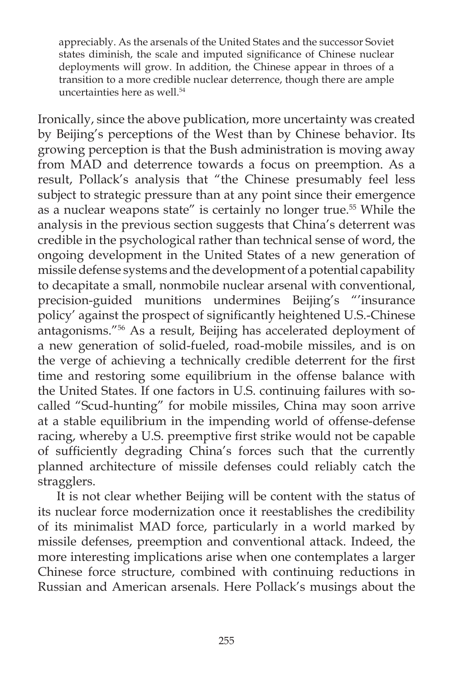appreciably. As the arsenals of the United States and the successor Soviet states diminish, the scale and imputed significance of Chinese nuclear deployments will grow. In addition, the Chinese appear in throes of a transition to a more credible nuclear deterrence, though there are ample uncertainties here as well.<sup>54</sup>

Ironically, since the above publication, more uncertainty was created by Beijing's perceptions of the West than by Chinese behavior. Its growing perception is that the Bush administration is moving away from MAD and deterrence towards a focus on preemption. As a result, Pollack's analysis that "the Chinese presumably feel less subject to strategic pressure than at any point since their emergence as a nuclear weapons state" is certainly no longer true.55 While the analysis in the previous section suggests that China's deterrent was credible in the psychological rather than technical sense of word, the ongoing development in the United States of a new generation of missile defense systems and the development of a potential capability to decapitate a small, nonmobile nuclear arsenal with conventional, precision-guided munitions undermines Beijing's "'insurance policy' against the prospect of significantly heightened U.S.-Chinese antagonisms."56 As a result, Beijing has accelerated deployment of a new generation of solid-fueled, road-mobile missiles, and is on the verge of achieving a technically credible deterrent for the first time and restoring some equilibrium in the offense balance with the United States. If one factors in U.S. continuing failures with socalled "Scud-hunting" for mobile missiles, China may soon arrive at a stable equilibrium in the impending world of offense-defense racing, whereby a U.S. preemptive first strike would not be capable of sufficiently degrading China's forces such that the currently planned architecture of missile defenses could reliably catch the stragglers.

 It is not clear whether Beijing will be content with the status of its nuclear force modernization once it reestablishes the credibility of its minimalist MAD force, particularly in a world marked by missile defenses, preemption and conventional attack. Indeed, the more interesting implications arise when one contemplates a larger Chinese force structure, combined with continuing reductions in Russian and American arsenals. Here Pollack's musings about the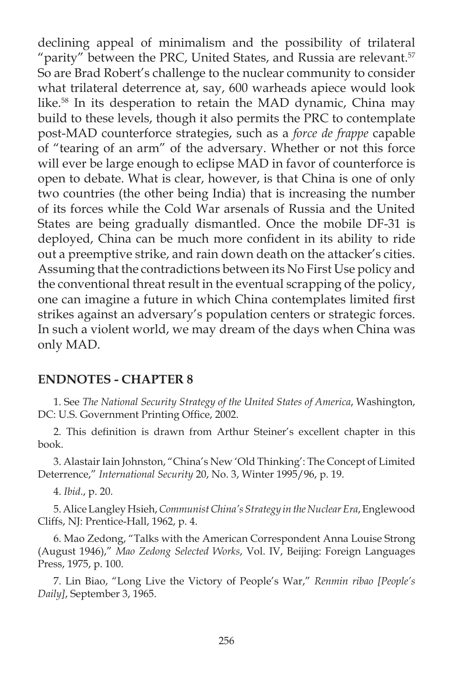declining appeal of minimalism and the possibility of trilateral "parity" between the PRC, United States, and Russia are relevant. $57$ So are Brad Robert's challenge to the nuclear community to consider what trilateral deterrence at, say, 600 warheads apiece would look like.58 In its desperation to retain the MAD dynamic, China may build to these levels, though it also permits the PRC to contemplate post-MAD counterforce strategies, such as a *force de frappe* capable of "tearing of an arm" of the adversary. Whether or not this force will ever be large enough to eclipse MAD in favor of counterforce is open to debate. What is clear, however, is that China is one of only two countries (the other being India) that is increasing the number of its forces while the Cold War arsenals of Russia and the United States are being gradually dismantled. Once the mobile DF-31 is deployed, China can be much more confident in its ability to ride out a preemptive strike, and rain down death on the attacker's cities. Assuming that the contradictions between its No First Use policy and the conventional threat result in the eventual scrapping of the policy, one can imagine a future in which China contemplates limited first strikes against an adversary's population centers or strategic forces. In such a violent world, we may dream of the days when China was only MAD.

### **ENDNOTES - CHAPTER 8**

1. See *The National Security Strategy of the United States of America*, Washington, DC: U.S. Government Printing Office, 2002.

2. This definition is drawn from Arthur Steiner's excellent chapter in this book.

3. Alastair Iain Johnston, "China's New 'Old Thinking': The Concept of Limited Deterrence," *International Security* 20, No. 3, Winter 1995/96, p. 19.

4. *Ibid*., p. 20.

5. Alice Langley Hsieh, *Communist China's Strategy in the Nuclear Era*, Englewood Cliffs, NJ: Prentice-Hall, 1962, p. 4.

6. Mao Zedong, "Talks with the American Correspondent Anna Louise Strong (August 1946)," *Mao Zedong Selected Works*, Vol. IV, Beijing: Foreign Languages Press, 1975, p. 100.

7. Lin Biao, "Long Live the Victory of People's War," *Renmin ribao [People's Daily]*, September 3, 1965.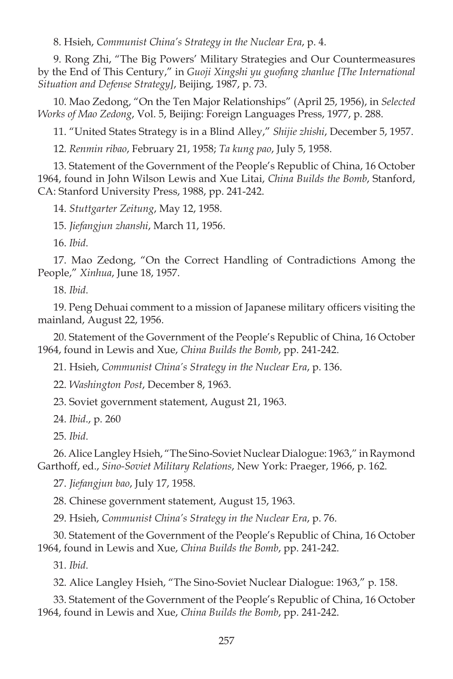8. Hsieh, *Communist China's Strategy in the Nuclear Era*, p. 4.

9. Rong Zhi, "The Big Powers' Military Strategies and Our Countermeasures by the End of This Century," in *Guoji Xingshi yu guofang zhanlue [The International Situation and Defense Strategy]*, Beijing, 1987, p. 73.

10. Mao Zedong, "On the Ten Major Relationships" (April 25, 1956), in *Selected Works of Mao Zedong*, Vol. 5, Beijing: Foreign Languages Press, 1977, p. 288.

11. "United States Strategy is in a Blind Alley," *Shijie zhishi*, December 5, 1957.

12. *Renmin ribao*, February 21, 1958; *Ta kung pao*, July 5, 1958.

13. Statement of the Government of the People's Republic of China, 16 October 1964, found in John Wilson Lewis and Xue Litai, *China Builds the Bomb*, Stanford, CA: Stanford University Press, 1988, pp. 241-242.

14. *Stuttgarter Zeitung*, May 12, 1958.

15. *Jiefangjun zhanshi*, March 11, 1956.

16. *Ibid*.

17. Mao Zedong, "On the Correct Handling of Contradictions Among the People," *Xinhua*, June 18, 1957.

18. *Ibid*.

19. Peng Dehuai comment to a mission of Japanese military officers visiting the mainland, August 22, 1956.

20. Statement of the Government of the People's Republic of China, 16 October 1964, found in Lewis and Xue, *China Builds the Bomb*, pp. 241-242.

21. Hsieh, *Communist China's Strategy in the Nuclear Era*, p. 136.

22. *Washington Post*, December 8, 1963.

23. Soviet government statement, August 21, 1963.

24. *Ibid*., p. 260

25. *Ibid*.

26. Alice Langley Hsieh, "The Sino-Soviet Nuclear Dialogue: 1963," in Raymond Garthoff, ed., *Sino-Soviet Military Relations*, New York: Praeger, 1966, p. 162.

27. *Jiefangjun bao*, July 17, 1958.

28. Chinese government statement, August 15, 1963.

29. Hsieh, *Communist China's Strategy in the Nuclear Era*, p. 76.

30. Statement of the Government of the People's Republic of China, 16 October 1964, found in Lewis and Xue, *China Builds the Bomb*, pp. 241-242.

31. *Ibid*.

32. Alice Langley Hsieh, "The Sino-Soviet Nuclear Dialogue: 1963," p. 158.

33. Statement of the Government of the People's Republic of China, 16 October 1964, found in Lewis and Xue, *China Builds the Bomb*, pp. 241-242.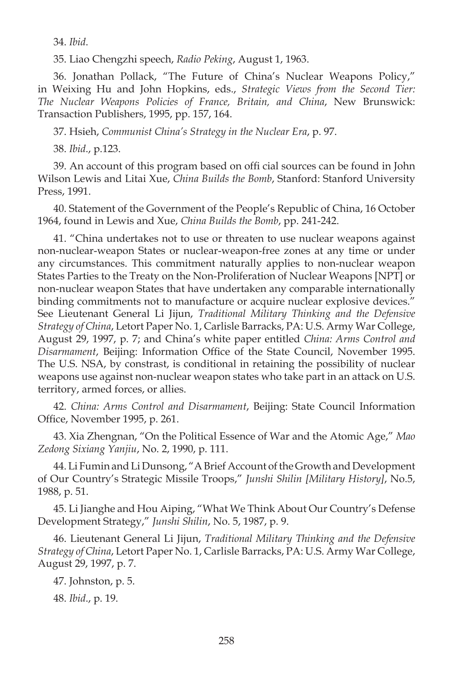34. *Ibid*.

35. Liao Chengzhi speech, *Radio Peking*, August 1, 1963.

36. Jonathan Pollack, "The Future of China's Nuclear Weapons Policy," in Weixing Hu and John Hopkins, eds., *Strategic Views from the Second Tier: The Nuclear Weapons Policies of France, Britain, and China*, New Brunswick: Transaction Publishers, 1995, pp. 157, 164.

37. Hsieh, *Communist China's Strategy in the Nuclear Era*, p. 97.

38. *Ibid*., p.123.

39. An account of this program based on offi cial sources can be found in John Wilson Lewis and Litai Xue, *China Builds the Bomb*, Stanford: Stanford University Press, 1991.

40. Statement of the Government of the People's Republic of China, 16 October 1964, found in Lewis and Xue, *China Builds the Bomb*, pp. 241-242.

41. "China undertakes not to use or threaten to use nuclear weapons against non-nuclear-weapon States or nuclear-weapon-free zones at any time or under any circumstances. This commitment naturally applies to non-nuclear weapon States Parties to the Treaty on the Non-Proliferation of Nuclear Weapons [NPT] or non-nuclear weapon States that have undertaken any comparable internationally binding commitments not to manufacture or acquire nuclear explosive devices." See Lieutenant General Li Jijun, *Traditional Military Thinking and the Defensive Strategy of China*, Letort Paper No. 1, Carlisle Barracks, PA: U.S. Army War College, August 29, 1997, p. 7; and China's white paper entitled *China: Arms Control and Disarmament*, Beijing: Information Office of the State Council, November 1995. The U.S. NSA, by constrast, is conditional in retaining the possibility of nuclear weapons use against non-nuclear weapon states who take part in an attack on U.S. territory, armed forces, or allies.

42. *China: Arms Control and Disarmament*, Beijing: State Council Information Office, November 1995, p. 261.

43. Xia Zhengnan, "On the Political Essence of War and the Atomic Age," *Mao Zedong Sixiang Yanjiu*, No. 2, 1990, p. 111.

44. Li Fumin and Li Dunsong, "A Brief Account of the Growth and Development of Our Country's Strategic Missile Troops," *Junshi Shilin [Military History]*, No.5, 1988, p. 51.

45. Li Jianghe and Hou Aiping, "What We Think About Our Country's Defense Development Strategy," *Junshi Shilin*, No. 5, 1987, p. 9.

46. Lieutenant General Li Jijun, *Traditional Military Thinking and the Defensive Strategy of China*, Letort Paper No. 1, Carlisle Barracks, PA: U.S. Army War College, August 29, 1997, p. 7.

47. Johnston, p. 5.

48. *Ibid*., p. 19.